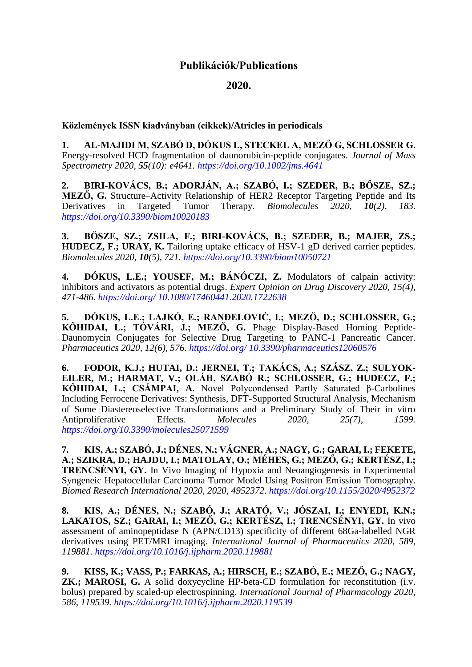## **Publikációk/Publications**

## **2020.**

**Közlemények ISSN kiadványban (cikkek)/Atricles in periodicals**

**1. AL-MAJIDI M, SZABÓ D, DÓKUS L, STECKEL A, MEZŐ G, SCHLOSSER G.** Energy‐resolved HCD fragmentation of daunorubicin‐peptide conjugates. *Journal of Mass Spectrometry 2020, 55(10): e4641. https:/[/doi.org/10.1002/jms.4641](https://doi.org/10.1002/jms.4641)*

**2. BIRI-KOVÁCS, B.; ADORJÁN, A.; SZABÓ, I.; SZEDER, B.; BŐSZE, SZ.; MEZŐ, G.** Structure–Activity Relationship of HER2 Receptor Targeting Peptide and Its Derivatives in Targeted Tumor Therapy*. Biomolecules 2020, 10(2), 183. <https://doi.org/10.3390/biom10020183>*

**3. BŐSZE, SZ.; ZSILA, F.; BIRI-KOVÁCS, B.; SZEDER, B.; MAJER, ZS.; HUDECZ, F.; URAY, K.** Tailoring uptake efficacy of HSV-1 gD derived carrier peptides. *Biomolecules 2020, 10(5), 721. <https://doi.org/10.3390/biom10050721>*

**4. DÓKUS, L.E.; YOUSEF, M.; BÁNÓCZI, Z.** Modulators of calpain activity: inhibitors and activators as potential drugs. *Expert Opinion on Drug Discovery 2020, 15(4), 471-486. https://doi.org/ 10.1080/17460441.2020.1722638*

**5. DÓKUS, L.E.; LAJKÓ, E.; RANĐELOVIĆ, I.; MEZŐ, D.; SCHLOSSER, G.; KŐHIDAI, L.; TÓVÁRI, J.; MEZŐ, G.** Phage Display-Based Homing Peptide-Daunomycin Conjugates for Selective Drug Targeting to PANC-1 Pancreatic Cancer. *Pharmaceutics 2020, 12(6), 576. https://doi.org/ 10.3390/pharmaceutics12060576*

**6. FODOR, K.J.; HUTAI, D.; JERNEI, T.; TAKÁCS, A.; SZÁSZ, Z.; SULYOK-EILER, M.; HARMAT, V.; OLÁH, SZABÓ R.; SCHLOSSER, G.; HUDECZ, F.; KŐHIDAI, L.; CSÁMPAI, A.** Novel Polycondensed Partly Saturated β-Carbolines Including Ferrocene Derivatives: Synthesis, DFT-Supported Structural Analysis, Mechanism of Some Diastereoselective Transformations and a Preliminary Study of Their in vitro Antiproliferative Effects. *Molecules 2020, 25(7), 1599. <https://doi.org/10.3390/molecules25071599>*

**7. KIS, A.; SZABÓ, J.; DÉNES, N.; VÁGNER, A.; NAGY, G.; GARAI, I.; FEKETE, A.; SZIKRA, D.; HAJDU, I.; MATOLAY, O.; MÉHES, G.; MEZŐ, G.; KERTÉSZ, I.; TRENCSÉNYI, GY.** In Vivo Imaging of Hypoxia and Neoangiogenesis in Experimental Syngeneic Hepatocellular Carcinoma Tumor Model Using Positron Emission Tomography. *Biomed Research International 2020, 2020, 4952372. <https://doi.org/10.1155/2020/4952372>*

**8. KIS, A.; DÉNES, N.; SZABÓ, J.; ARATÓ, V.; JÓSZAI, I.; ENYEDI, K.N.; LAKATOS, SZ.; GARAI, I.; MEZŐ, G.; KERTÉSZ, I.; TRENCSÉNYI, GY.** In vivo assessment of aminopeptidase N (APN/CD13) specificity of different 68Ga-labelled NGR derivatives using PET/MRI imaging. *International Journal of Pharmaceutics 2020, 589, 119881.<https://doi.org/10.1016/j.ijpharm.2020.119881>*

**9. KISS, K.; VASS, P.; FARKAS, A.; HIRSCH, E.; SZABÓ, E.; MEZŐ, G.; NAGY, ZK.; MAROSI, G.** A solid doxycycline HP-beta-CD formulation for reconstitution (i.v. bolus) prepared by scaled-up electrospinning. *International Journal of Pharmacology 2020, 586, 119539. https:/[/doi.org/10.1016/j.ijpharm.2020.119539](http://doi.org/10.1016/j.ijpharm.2020.119539)*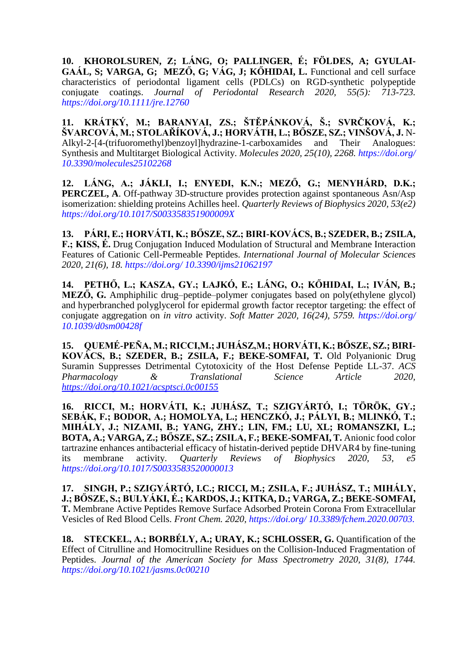**10. KHOROLSUREN, Z; LÁNG, O; PALLINGER, É; FÖLDES, A; GYULAI-GAÁL, S; VARGA, G; MEZŐ, G; VÁG, J; KŐHIDAI, L.** Functional and cell surface characteristics of periodontal ligament cells (PDLCs) on RGD-synthetic polypeptide conjugate coatings. *Journal of Periodontal Research 2020, 55(5): 713-723. <https://doi.org/10.1111/jre.12760>*

**11. KRÁTKÝ, M.; BARANYAI, ZS.; ŠTĚPÁNKOVÁ, Š.; SVRČKOVÁ, K.; ŠVARCOVÁ, M.; STOLAŘÍKOVÁ, J.; HORVÁTH, L.; BŐSZE, SZ.; VINŠOVÁ, J.** N-Alkyl-2-[4-(trifuoromethyl)benzoyl]hydrazine-1-carboxamides and Their Analogues: Synthesis and Multitarget Biological Activity. *Molecules 2020, 25(10), 2268. https://doi.org/ 10.3390/molecules25102268*

**12. LÁNG, A.; JÁKLI, I.; ENYEDI, K.N.; MEZŐ, G.; MENYHÁRD, D.K.; PERCZEL, A**. Off-pathway 3D-structure provides protection against spontaneous Asn/Asp isomerization: shielding proteins Achilles heel. *Quarterly Reviews of Biophysics 2020, 53(e2) <https://doi.org/10.1017/S003358351900009X>*

**13. PÁRI, E.; HORVÁTI, K.; BŐSZE, SZ.; BIRI-KOVÁCS, B.; SZEDER, B.; ZSILA, F.; KISS, É.** Drug Conjugation Induced Modulation of Structural and Membrane Interaction Features of Cationic Cell-Permeable Peptides. *International Journal of Molecular Sciences 2020, 21(6), 18. https://doi.org/ 10.3390/ijms21062197*

**14. PETHŐ, L.; KASZA, GY.; LAJKÓ, E.; LÁNG, O.; KŐHIDAI, L.; IVÁN, B.; MEZŐ, G.** Amphiphilic drug–peptide–polymer conjugates based on poly(ethylene glycol) and hyperbranched polyglycerol for epidermal growth factor receptor targeting: the effect of conjugate aggregation on *in vitro* activity. *Soft Matter 2020, 16(24), 5759. https://doi.org/ 10.1039/d0sm00428f*

**15. QUEMÉ-PEÑA, M.; RICCI,M.; JUHÁSZ,M.; HORVÁTI, K.; BŐSZE, SZ.; BIRI-KOVÁCS, B.; SZEDER, B.; ZSILA, F.; BEKE-SOMFAI, T.** Old Polyanionic Drug Suramin Suppresses Detrimental Cytotoxicity of the Host Defense Peptide LL-37. *ACS Pharmacology & Translational Science Article 2020, <https://doi.org/10.1021/acsptsci.0c00155>*

**16. RICCI, M.; HORVÁTI, K.; JUHÁSZ, T.; SZIGYÁRTÓ, I.; TÖRÖK, GY.; SEBÁK, F.; BODOR, A.; HOMOLYA, L.; HENCZKÓ, J.; PÁLYI, B.; MLINKÓ, T.; MIHÁLY, J.; NIZAMI, B.; YANG, ZHY.; LIN, FM.; LU, XL; ROMANSZKI, L.; BOTA, A.; VARGA, Z.; BŐSZE, SZ.; ZSILA, F.; BEKE-SOMFAI, T.** Anionic food color tartrazine enhances antibacterial efficacy of histatin-derived peptide DHVAR4 by fine-tuning its membrane activity. *Quarterly Reviews of Biophysics 2020, 53, e5 <https://doi.org/10.1017/S0033583520000013>*

**17. SINGH, P.; SZIGYÁRTÓ, I.C.; RICCI, M.; ZSILA, F.; JUHÁSZ, T.; MIHÁLY, J.; BŐSZE, S.; BULYÁKI, É.; KARDOS, J.; KITKA, D.; VARGA, Z.; BEKE-SOMFAI, T.** Membrane Active Peptides Remove Surface Adsorbed Protein Corona From Extracellular Vesicles of Red Blood Cells. *Front Chem. 2020, https://doi.org/ 10.3389/fchem.2020.00703.*

**18. STECKEL, A.; BORBÉLY, A.; URAY, K.; SCHLOSSER, G.** Quantification of the Effect of Citrulline and Homocitrulline Residues on the Collision-Induced Fragmentation of Peptides. *Journal of the American Society for Mass Spectrometry 2020, 31(8), 1744. <https://doi.org/10.1021/jasms.0c00210>*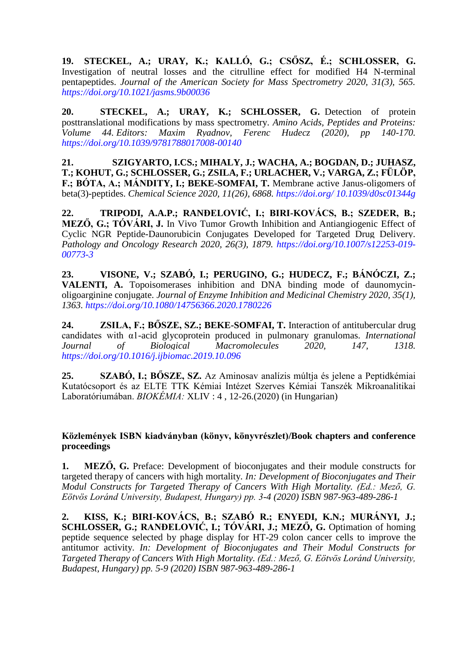**19. STECKEL, A.; URAY, K.; KALLÓ, G.; CSŐSZ, É.; SCHLOSSER, G.** Investigation of neutral losses and the citrulline effect for modified H4 N-terminal pentapeptides. *Journal of the American Society for Mass Spectrometry 2020, 31(3), 565. <https://doi.org/10.1021/jasms.9b00036>*

**20. STECKEL, A.; URAY, K.; SCHLOSSER, G.** Detection of protein posttranslational modifications by mass spectrometry. *Amino Acids, Peptides and Proteins: Volume 44. Editors: Maxim Ryadnov, Ferenc Hudecz (2020), pp 140-170. <https://doi.org/10.1039/9781788017008-00140>*

**21. SZIGYARTO, I.CS.; MIHALY, J.; WACHA, A.; BOGDAN, D.; JUHASZ, T.; KOHUT, G.; SCHLOSSER, G.; ZSILA, F.; URLACHER, V.; VARGA, Z.; FÜLÖP, F.; BÓTA, A.; MÁNDITY, I.; BEKE-SOMFAI, T.** Membrane active Janus-oligomers of beta(3)-peptides. *Chemical Science 2020, 11(26), 6868. https://doi.org/ 10.1039/d0sc01344g*

**22. TRIPODI, A.A.P.; RANĐELOVIĆ, I.; BIRI-KOVÁCS, B.; SZEDER, B.; MEZŐ, G.; TÓVÁRI, J.** In Vivo Tumor Growth Inhibition and Antiangiogenic Effect of Cyclic NGR Peptide-Daunorubicin Conjugates Developed for Targeted Drug Delivery. *Pathology and Oncology Research 2020, 26(3), 1879. [https://doi.org/10.1007/s12253-019-](https://doi.org/10.1007/s12253-019-00773-3) [00773-3](https://doi.org/10.1007/s12253-019-00773-3)*

**23. VISONE, V.; SZABÓ, I.; PERUGINO, G.; HUDECZ, F.; BÁNÓCZI, Z.; VALENTI, A.** Topoisomerases inhibition and DNA binding mode of daunomycinoligoarginine conjugate. *Journal of Enzyme Inhibition and Medicinal Chemistry 2020, 35(1), 1363. [https://doi.org/10.1080/14756366.2020.1780226](https://doi.org/10.1007/s12253-019-00773-3)*

**24. ZSILA, F.; BŐSZE, SZ.; BEKE-SOMFAI, T.** Interaction of antitubercular drug candidates with α1-acid glycoprotein produced in pulmonary granulomas. *International Journal of Biological Macromolecules 2020, 147, 1318. <https://doi.org/10.1016/j.ijbiomac.2019.10.096>*

**25. SZABÓ, I.; BŐSZE, SZ.** Az Aminosav analízis múltja és jelene a Peptidkémiai Kutatócsoport és az ELTE TTK Kémiai Intézet Szerves Kémiai Tanszék Mikroanalitikai Laboratóriumában. *BIOKÉMIA:* XLIV : 4 , 12-26.(2020) (in Hungarian)

## **Közlemények ISBN kiadványban (könyv, könyvrészlet)/Book chapters and conference proceedings**

**1. MEZŐ, G.** Preface: Development of bioconjugates and their module constructs for targeted therapy of cancers with high mortality*. In: Development of Bioconjugates and Their Modul Constructs for Targeted Therapy of Cancers With High Mortality. (Ed.: Mező, G. Eötvös Loránd University, Budapest, Hungary) pp. 3-4 (2020) ISBN 987-963-489-286-1*

**2. KISS, K.; BIRI-KOVÁCS, B.; SZABÓ R.; ENYEDI, K.N.; MURÁNYI, J.; SCHLOSSER, G.; RANĐELOVIĆ, I.; TÓVÁRI, J.; MEZŐ, G.** Optimation of homing peptide sequence selected by phage display for HT-29 colon cancer cells to improve the antitumor activity. *In: Development of Bioconjugates and Their Modul Constructs for Targeted Therapy of Cancers With High Mortality. (Ed.: Mező, G. Eötvös Loránd University, Budapest, Hungary) pp. 5-9 (2020) ISBN 987-963-489-286-1*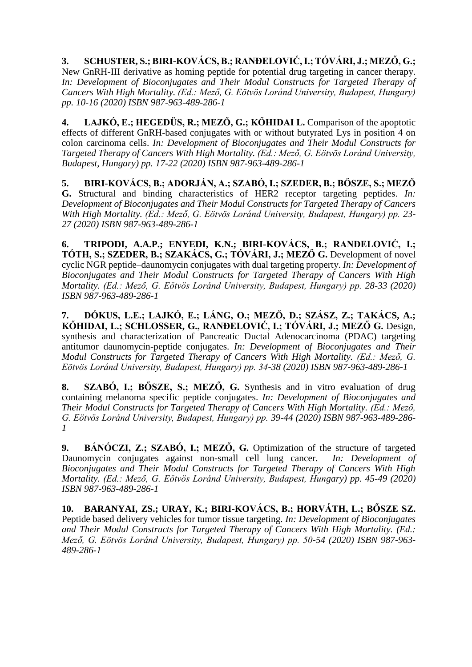**3. SCHUSTER, S.; BIRI-KOVÁCS, B.; RANĐELOVIĆ, I.; TÓVÁRI, J.; MEZŐ, G.;**  New GnRH-III derivative as homing peptide for potential drug targeting in cancer therapy. In: Development of Bioconjugates and Their Modul Constructs for Targeted Therapy of *Cancers With High Mortality. (Ed.: Mező, G. Eötvös Loránd University, Budapest, Hungary) pp. 10-16 (2020) ISBN 987-963-489-286-1*

**4. LAJKÓ, E.; HEGEDÜS, R.; MEZŐ, G.; KŐHIDAI L.** Comparison of the apoptotic effects of different GnRH-based conjugates with or without butyrated Lys in position 4 on colon carcinoma cells. *In: Development of Bioconjugates and Their Modul Constructs for Targeted Therapy of Cancers With High Mortality. (Ed.: Mező, G. Eötvös Loránd University, Budapest, Hungary) pp. 17-22 (2020) ISBN 987-963-489-286-1*

**5. BIRI-KOVÁCS, B.; ADORJÁN, A.; SZABÓ, I.; SZEDER, B.; BŐSZE, S.; MEZŐ G.** Structural and binding characteristics of HER2 receptor targeting peptides. *In: Development of Bioconjugates and Their Modul Constructs for Targeted Therapy of Cancers With High Mortality. (Ed.: Mező, G. Eötvös Loránd University, Budapest, Hungary) pp. 23- 27 (2020) ISBN 987-963-489-286-1*

**6. TRIPODI, A.A.P.; ENYEDI, K.N.; BIRI-KOVÁCS, B.; RANĐELOVIĆ, I.; TÓTH, S.; SZEDER, B.; SZAKÁCS, G.; TÓVÁRI, J.; MEZŐ G. Development of novel** cyclic NGR peptide–daunomycin conjugates with dual targeting property. *In: Development of Bioconjugates and Their Modul Constructs for Targeted Therapy of Cancers With High Mortality. (Ed.: Mező, G. Eötvös Loránd University, Budapest, Hungary) pp. 28-33 (2020) ISBN 987-963-489-286-1*

**7. DÓKUS, L.E.; LAJKÓ, E.; LÁNG, O.; MEZŐ, D.; SZÁSZ, Z.; TAKÁCS, A.; KŐHIDAI, L.; SCHLOSSER, G., RANĐELOVIĆ, I.; TÓVÁRI, J.; MEZŐ G.** Design, synthesis and characterization of Pancreatic Ductal Adenocarcinoma (PDAC) targeting antitumor daunomycin-peptide conjugates. *In: Development of Bioconjugates and Their Modul Constructs for Targeted Therapy of Cancers With High Mortality. (Ed.: Mező, G. Eötvös Loránd University, Budapest, Hungary) pp. 34-38 (2020) ISBN 987-963-489-286-1*

**8. SZABÓ, I.; BŐSZE, S.; MEZŐ, G.** Synthesis and in vitro evaluation of drug containing melanoma specific peptide conjugates. *In: Development of Bioconjugates and Their Modul Constructs for Targeted Therapy of Cancers With High Mortality. (Ed.: Mező, G. Eötvös Loránd University, Budapest, Hungary) pp. 39-44 (2020) ISBN 987-963-489-286- 1*

**9. BÁNÓCZI, Z.; SZABÓ, I.; MEZŐ, G.** Optimization of the structure of targeted Daunomycin conjugates against non-small cell lung cancer. *In: Development of Bioconjugates and Their Modul Constructs for Targeted Therapy of Cancers With High Mortality. (Ed.: Mező, G. Eötvös Loránd University, Budapest, Hungary) pp. 45-49 (2020) ISBN 987-963-489-286-1*

**10. BARANYAI, ZS.; URAY, K.; BIRI-KOVÁCS, B.; HORVÁTH, L.; BŐSZE SZ.** Peptide based delivery vehicles for tumor tissue targeting. *In: Development of Bioconjugates and Their Modul Constructs for Targeted Therapy of Cancers With High Mortality. (Ed.: Mező, G. Eötvös Loránd University, Budapest, Hungary) pp. 50-54 (2020) ISBN 987-963- 489-286-1*